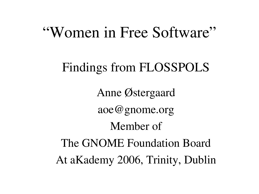### "Women in Free Software"

#### Findings from FLOSSPOLS

Anne Østergaard aoe@gnome.org Member of The GNOME Foundation Board At aKademy 2006, Trinity, Dublin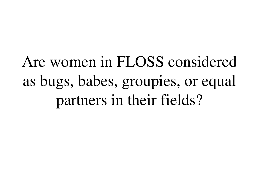Are women in FLOSS considered as bugs, babes, groupies, or equal partners in their fields?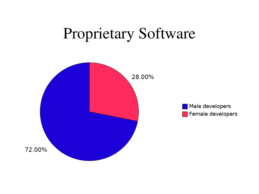### Proprietary Software

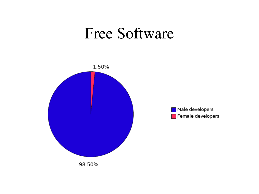#### Free Software

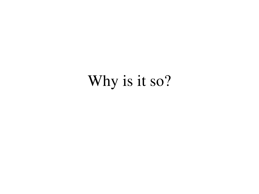## Why is it so?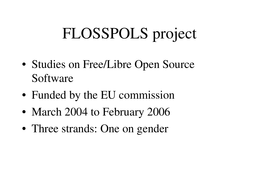# FLOSSPOLS project

- Studies on Free/Libre Open Source Software
- Funded by the EU commission
- March 2004 to February 2006
- Three strands: One on gender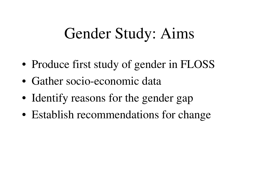### Gender Study: Aims

- Produce first study of gender in FLOSS
- Gather socio-economic data
- Identify reasons for the gender gap
- Establish recommendations for change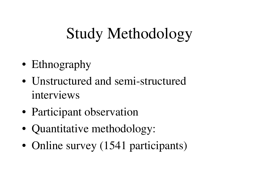# Study Methodology

- Ethnography
- Unstructured and semi-structured interviews
- Participant observation
- Quantitative methodology:
- Online survey (1541 participants)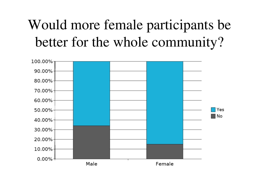### Would more female participants be better for the whole community?

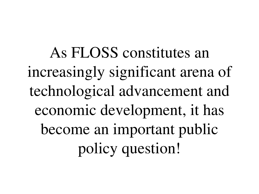As FLOSS constitutes an increasingly significant arena of technological advancement and economic development, it has become an important public policy question!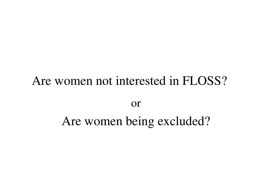# Are women not interested in FLOSS? or Are women being excluded?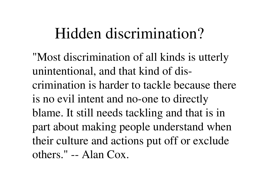### Hidden discrimination?

"Most discrimination of all kinds is utterly unintentional, and that kind of discrimination is harder to tackle because there is no evil intent and no-one to directly blame. It still needs tackling and that is in part about making people understand when their culture and actions put off or exclude others."  $-$  Alan Cox.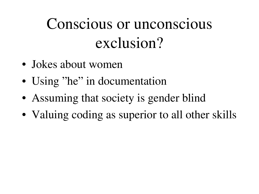# Conscious or unconscious exclusion?

- Jokes about women
- Using "he" in documentation
- Assuming that society is gender blind
- Valuing coding as superior to all other skills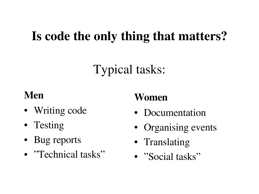#### Is code the only thing that matters?

#### Typical tasks:

#### Men

- Writing code
- Testing
- Bug reports
- "Technical tasks"

#### Women

- Documentation
- Organising events
- Translating
- "Social tasks"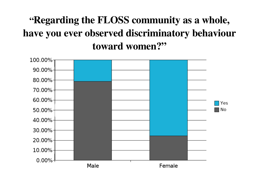#### "Regarding the FLOSS community as a whole, have you ever observed discriminatory behaviour toward women?"

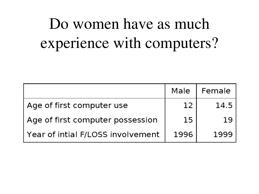# Do women have as much experience with computers?

|                                   | Male | Female |
|-----------------------------------|------|--------|
| Age of first computer use         | 12   | 14.5   |
| Age of first computer possession  | 15   | 19     |
| Year of intial F/LOSS involvement | 1996 | 1999   |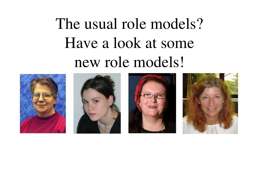# The usual role models? Have a look at some new role models!







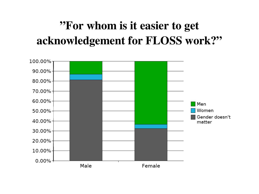#### "For whom is it easier to get acknowledgement for FLOSS work?"

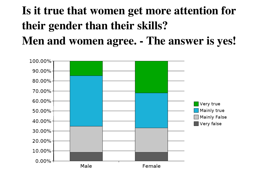#### Is it true that women get more attention for their gender than their skills? Men and women agree. - The answer is yes!

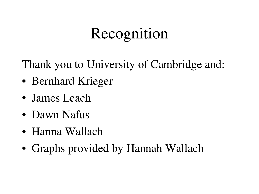# Recognition

Thank you to University of Cambridge and:

- Bernhard Krieger
- James Leach
- Dawn Nafus
- Hanna Wallach
- Graphs provided by Hannah Wallach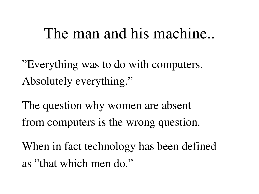### The man and his machine..

"Everything was to do with computers. Absolutely everything."

The question why women are absent from computers is the wrong question.

When in fact technology has been defined as "that which men do."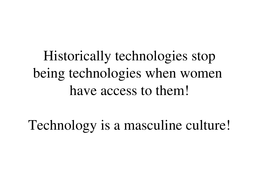## Historically technologies stop being technologies when women have access to them!

Technology is a masculine culture!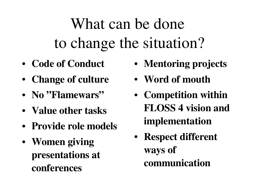# What can be done to change the situation?

- Code of Conduct
- Change of culture
- No "Flamewars"
- Value other tasks
- Provide role models
- Women giving presentations at conferences
- Mentoring projects
- Word of mouth
- Competition within FLOSS 4 vision and implementation
- Respect different ways of communication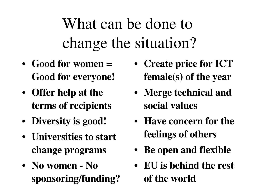What can be done to change the situation?

- Good for women = Good for everyone!
- Offer help at the terms of recipients
- Diversity is good!
- Universities to start change programs
- No women No sponsoring/funding?
- Create price for ICT female(s) of the year
- Merge technical and social values
- Have concern for the feelings of others
- Be open and flexible
- EU is behind the rest of the world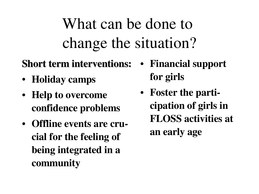What can be done to change the situation?

#### Short term interventions:

- Holiday camps
- Help to overcome confidence problems
- Offline events are crucial for the feeling of being integrated in a community
- Financial support for girls
- Foster the participation of girls in FLOSS activities at an early age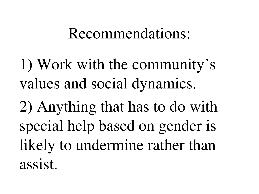#### Recommendations:

1) Work with the community's values and social dynamics.

2) Anything that has to do with special help based on gender is likely to undermine rather than assist.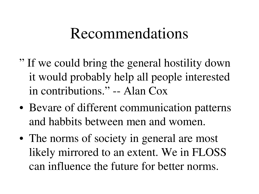### Recommendations

- " If we could bring the general hostility down it would probably help all people interested in contributions."  $-$  Alan Cox
- Bevare of different communication patterns and habbits between men and women.
- The norms of society in general are most likely mirrored to an extent. We in FLOSS can influence the future for better norms.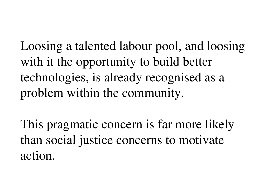Loosing a talented labour pool, and loosing with it the opportunity to build better technologies, is already recognised as a problem within the community.

This pragmatic concern is far more likely than social justice concerns to motivate action.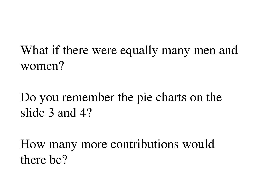What if there were equally many men and women?

#### Do you remember the pie charts on the slide 3 and 4?

How many more contributions would there be?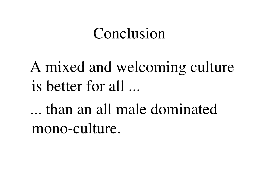### Conclusion

A mixed and welcoming culture is better for all ...

... than an all male dominated mono-culture.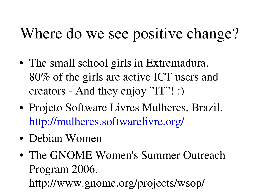# Where do we see positive change?

- The small school girls in Extremadura. 80% of the girls are active ICT users and creators - And they enjoy "IT"! :)
- Projeto Software Livres Mulheres, Brazil. <http://mulheres.softwarelivre.org/>
- Debian Women
- The GNOME Women's Summer Outreach Program 2006. http://www.gnome.org/projects/wsop/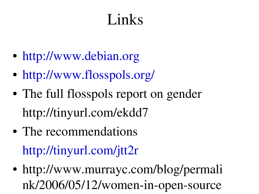# Links

- [http://www.debian.org](http://www.debian.org/)
- <http://www.flosspols.org/>
- The full flosspols report on gender http://tinyurl.com/ekdd7
- The recommendations <http://tinyurl.com/jtt2r>
- http://www.murrayc.com/blog/permali nk/2006/05/12/women-in-open-source